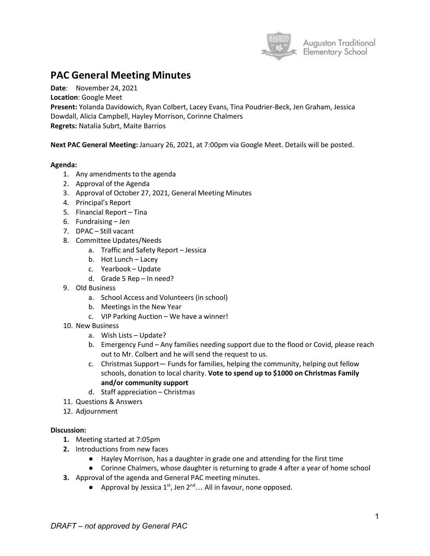

# **PAC General Meeting Minutes**

**Date**: November 24, 2021

**Location**: Google Meet

**Present:** Yolanda Davidowich, Ryan Colbert, Lacey Evans, Tina Poudrier-Beck, Jen Graham, Jessica Dowdall, Alicia Campbell, Hayley Morrison, Corinne Chalmers **Regrets:** Natalia Subrt, Maite Barrios

**Next PAC General Meeting:** January 26, 2021, at 7:00pm via Google Meet. Details will be posted.

## **Agenda:**

- 1. Any amendments to the agenda
- 2. Approval of the Agenda
- 3. Approval of October 27, 2021, General Meeting Minutes
- 4. Principal's Report
- 5. Financial Report Tina
- 6. Fundraising Jen
- 7. DPAC Still vacant
- 8. Committee Updates/Needs
	- a. Traffic and Safety Report Jessica
	- b. Hot Lunch Lacey
	- c. Yearbook Update
	- d. Grade 5 Rep In need?
- 9. Old Business
	- a. School Access and Volunteers (in school)
	- b. Meetings in the New Year
	- c. VIP Parking Auction We have a winner!
- 10. New Business
	- a. Wish Lists Update?
	- b. Emergency Fund Any families needing support due to the flood or Covid, please reach out to Mr. Colbert and he will send the request to us.
	- c. Christmas Support— Funds for families, helping the community, helping out fellow schools, donation to local charity. **Vote to spend up to \$1000 on Christmas Family and/or community support**
	- d. Staff appreciation Christmas
- 11. Questions & Answers
- 12. Adjournment

# **Discussion:**

- **1.** Meeting started at 7:05pm
- **2.** Introductions from new faces
	- Hayley Morrison, has a daughter in grade one and attending for the first time
	- Corinne Chalmers, whose daughter is returning to grade 4 after a year of home school
- **3.** Approval of the agenda and General PAC meeting minutes.
	- Approval by Jessica  $1^{st}$ , Jen  $2^{nd}$ ... All in favour, none opposed.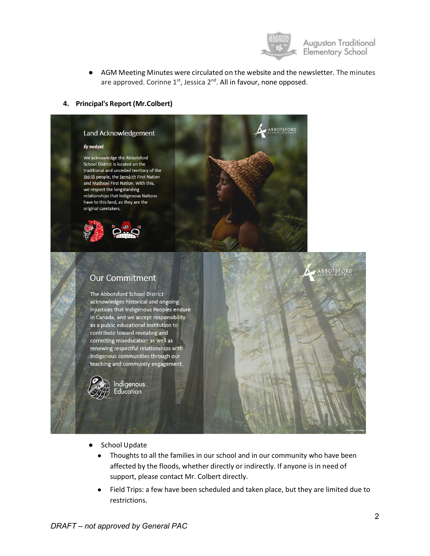

**BBOTSFORD** 

Auguston Traditional<br>Elementary School

● AGM Meeting Minutes were circulated on the website and the newsletter. The minutes are approved. Corinne 1<sup>st</sup>, Jessica 2<sup>nd</sup>. All in favour, none opposed.

#### **4. Principal's Report (Mr.Colbert)**

#### Land Acknowledgement

#### Éy swáyel.

We acknowledge the Abbotsford School District is located on the traditional and unceded territory of the Stó:lō people, the Semá:th First Nation and Mathxwi First Nation. With this, we respect the longstanding relationships that Indigenous Nations have to this land, as they are the original caretakers.



# **Our Commitment**

The Abbotsford School District acknowledges historical and ongoing injustices that Indigenous Peoples endure in Canada, and we accept responsibility as a public educational institution to contribute toward revealing and correcting miseducation as well as renewing respectful relationships with Indigenous communities through our teaching and community engagement.



Indigenous ducation



- School Update
	- Thoughts to all the families in our school and in our community who have been affected by the floods, whether directly or indirectly. If anyone is in need of support, please contact Mr. Colbert directly.
	- Field Trips: a few have been scheduled and taken place, but they are limited due to restrictions.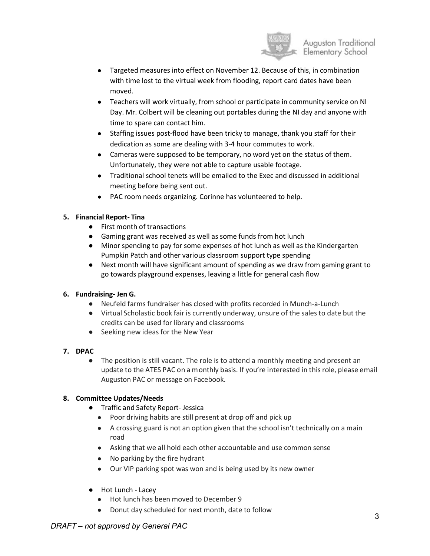

- Targeted measures into effect on November 12. Because of this, in combination with time lost to the virtual week from flooding, report card dates have been moved.
- Teachers will work virtually, from school or participate in community service on NI Day. Mr. Colbert will be cleaning out portables during the NI day and anyone with time to spare can contact him.
- Staffing issues post-flood have been tricky to manage, thank you staff for their dedication as some are dealing with 3-4 hour commutes to work.
- Cameras were supposed to be temporary, no word yet on the status of them. Unfortunately, they were not able to capture usable footage.
- Traditional school tenets will be emailed to the Exec and discussed in additional meeting before being sent out.
- PAC room needs organizing. Corinne has volunteered to help.

# **5. Financial Report- Tina**

- First month of transactions
- Gaming grant was received as well as some funds from hot lunch
- Minor spending to pay for some expenses of hot lunch as well as the Kindergarten Pumpkin Patch and other various classroom support type spending
- Next month will have significant amount of spending as we draw from gaming grant to go towards playground expenses, leaving a little for general cash flow

# **6. Fundraising- Jen G.**

- Neufeld farms fundraiser has closed with profits recorded in Munch-a-Lunch
- Virtual Scholastic book fair is currently underway, unsure of the sales to date but the credits can be used for library and classrooms
- Seeking new ideas for the New Year
- **7. DPAC**
	- The position is still vacant. The role is to attend a monthly meeting and present an update to the ATES PAC on a monthly basis. If you're interested in this role, please email Auguston PAC or message on Facebook.

# **8. Committee Updates/Needs**

- Traffic and Safety Report- Jessica
	- Poor driving habits are still present at drop off and pick up
	- A crossing guard is not an option given that the school isn't technically on a main road
	- Asking that we all hold each other accountable and use common sense
	- No parking by the fire hydrant
	- Our VIP parking spot was won and is being used by its new owner
- Hot Lunch Lacey
	- Hot lunch has been moved to December 9
	- Donut day scheduled for next month, date to follow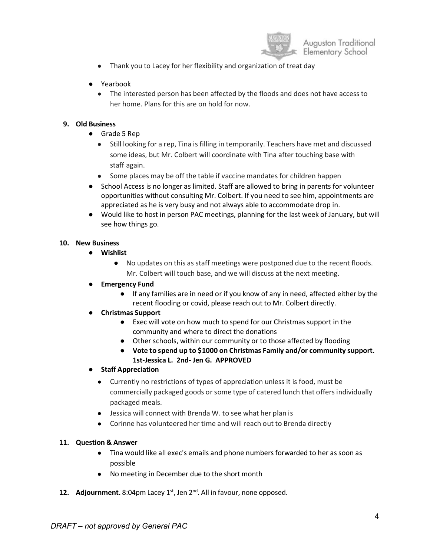

- Thank you to Lacey for her flexibility and organization of treat day
- Yearbook
	- The interested person has been affected by the floods and does not have access to her home. Plans for this are on hold for now.

## **9. Old Business**

- Grade 5 Rep
	- Still looking for a rep, Tina is filling in temporarily. Teachers have met and discussed some ideas, but Mr. Colbert will coordinate with Tina after touching base with staff again.
	- Some places may be off the table if vaccine mandates for children happen
- School Access is no longer as limited. Staff are allowed to bring in parents for volunteer opportunities without consulting Mr. Colbert. If you need to see him, appointments are appreciated as he is very busy and not always able to accommodate drop in.
- Would like to host in person PAC meetings, planning for the last week of January, but will see how things go.

#### **10. New Business**

- **● Wishlist**
	- No updates on this as staff meetings were postponed due to the recent floods. Mr. Colbert will touch base, and we will discuss at the next meeting.
- **● Emergency Fund**
	- If any families are in need or if you know of any in need, affected either by the recent flooding or covid, please reach out to Mr. Colbert directly.
- **● Christmas Support**
	- Exec will vote on how much to spend for our Christmas support in the community and where to direct the donations
	- Other schools, within our community or to those affected by flooding
	- **Vote to spend up to \$1000 on Christmas Family and/or community support. 1st-Jessica L. 2nd- Jen G. APPROVED**

### **● Staff Appreciation**

- Currently no restrictions of types of appreciation unless it is food, must be commercially packaged goods or some type of catered lunch that offers individually packaged meals.
- Jessica will connect with Brenda W. to see what her plan is
- Corinne has volunteered her time and will reach out to Brenda directly

### **11. Question & Answer**

- **●** Tina would like all exec's emails and phone numbers forwarded to her as soon as possible
- **●** No meeting in December due to the short month
- 12. Adjournment. 8:04pm Lacey 1<sup>st</sup>, Jen 2<sup>nd</sup>. All in favour, none opposed.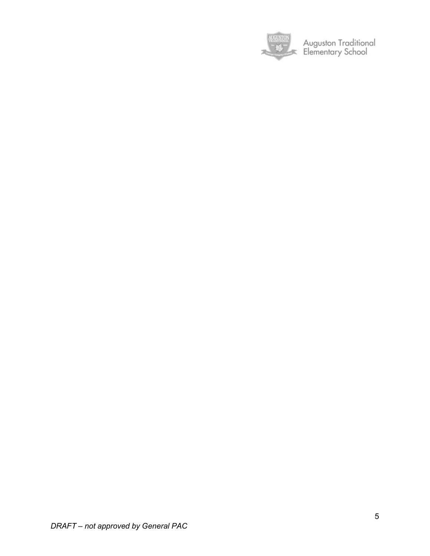

Auguston Traditional<br>Elementary School